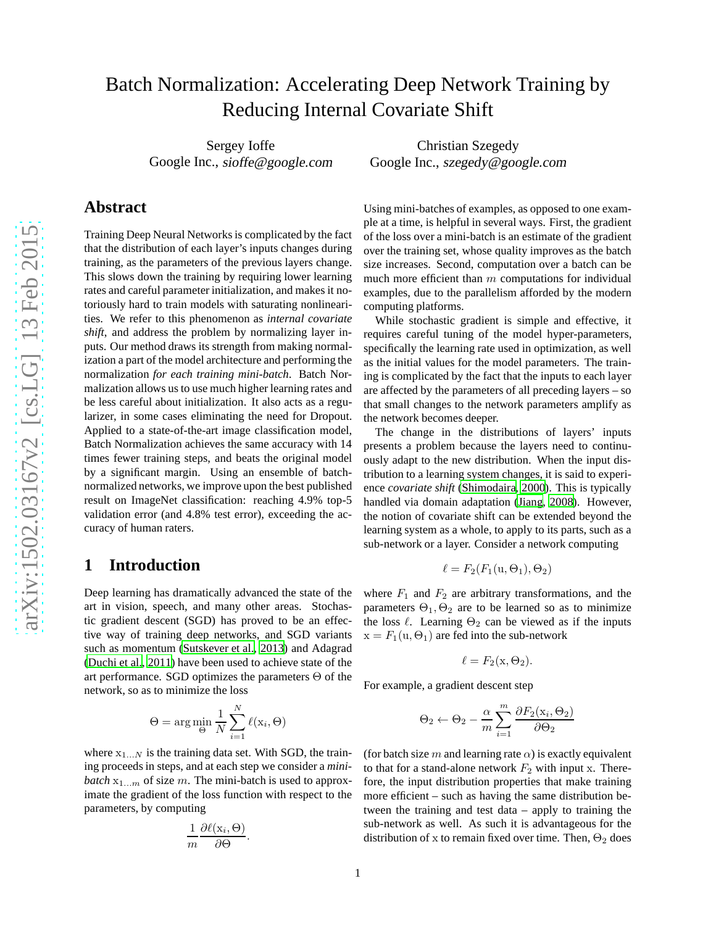# Batch Normalization: Accelerating Deep Network Training by Reducing Internal Covariate Shift

Sergey Ioffe Google Inc., sioffe@google.com

## **Abstract**

Training Deep Neural Networks is complicated by the fact that the distribution of each layer's inputs changes during training, as the parameters of the previous layers change. This slows down the training by requiring lower learning rates and careful parameter initialization, and makes it notoriously hard to train models with saturating nonlinearities. We refer to this phenomenon as *internal covariate shift*, and address the problem by normalizing layer inputs. Our method draws its strength from making normalization a part of the model architecture and performing the normalization *for each training mini-batch*. Batch Normalization allows us to use much higher learning rates and be less careful about initialization. It also acts as a regularizer, in some cases eliminating the need for Dropout. Applied to a state-of-the-art image classification model, Batch Normalization achieves the same accuracy with 14 times fewer training steps, and beats the original model by a significant margin. Using an ensemble of batchnormalized networks, we improve upon the best published result on ImageNet classification: reaching 4.9% top-5 validation error (and 4.8% test error), exceeding the accuracy of human raters.

## **1 Introduction**

Deep learning has dramatically advanced the state of the art in vision, speech, and many other areas. Stochastic gradient descent (SGD) has proved to be an effective way of training deep networks, and SGD variants such as momentum [\(Sutskever et al.](#page-8-0), [2013\)](#page-8-0) and Adagrad [\(Duchi et al., 2011\)](#page-7-0) have been used to achieve state of the art performance. SGD optimizes the parameters  $\Theta$  of the network, so as to minimize the loss

$$
\Theta = \arg\min_{\Theta} \frac{1}{N} \sum_{i=1}^{N} \ell(\mathbf{x}_i, \Theta)
$$

where  $x_{1...N}$  is the training data set. With SGD, the training proceeds in steps, and at each step we consider a *minibatch*  $x_{1...m}$  of size m. The mini-batch is used to approximate the gradient of the loss function with respect to the parameters, by computing

$$
\frac{1}{m} \frac{\partial \ell(\mathbf{x}_i, \Theta)}{\partial \Theta}.
$$

Using mini-batches of examples, as opposed to one example at a time, is helpful in several ways. First, the gradient of the loss over a mini-batch is an estimate of the gradient

Christian Szegedy Google Inc., szegedy@google.com

over the training set, whose quality improves as the batch size increases. Second, computation over a batch can be much more efficient than  $m$  computations for individual examples, due to the parallelism afforded by the modern computing platforms.

While stochastic gradient is simple and effective, it requires careful tuning of the model hyper-parameters, specifically the learning rate used in optimization, as well as the initial values for the model parameters. The training is complicated by the fact that the inputs to each layer are affected by the parameters of all preceding layers – so that small changes to the network parameters amplify as the network becomes deeper.

The change in the distributions of layers' inputs presents a problem because the layers need to continuously adapt to the new distribution. When the input distribution to a learning system changes, it is said to experience *covariate shift* [\(Shimodaira](#page-8-1), [2000](#page-8-1)). This is typically handled via domain adaptation [\(Jiang](#page-8-2), [2008](#page-8-2)). However, the notion of covariate shift can be extended beyond the learning system as a whole, to apply to its parts, such as a sub-network or a layer. Consider a network computing

$$
\ell = F_2(F_1(\mathbf{u}, \Theta_1), \Theta_2)
$$

where  $F_1$  and  $F_2$  are arbitrary transformations, and the parameters  $\Theta_1$ ,  $\Theta_2$  are to be learned so as to minimize the loss  $\ell$ . Learning  $\Theta_2$  can be viewed as if the inputs  $x = F_1(u, \Theta_1)$  are fed into the sub-network

$$
\ell = F_2(\mathbf{x}, \Theta_2).
$$

For example, a gradient descent step

$$
\Theta_2 \leftarrow \Theta_2 - \frac{\alpha}{m} \sum_{i=1}^{m} \frac{\partial F_2(\mathbf{x}_i, \Theta_2)}{\partial \Theta_2}
$$

(for batch size m and learning rate  $\alpha$ ) is exactly equivalent to that for a stand-alone network  $F_2$  with input x. Therefore, the input distribution properties that make training more efficient – such as having the same distribution between the training and test data – apply to training the sub-network as well. As such it is advantageous for the distribution of x to remain fixed over time. Then,  $\Theta_2$  does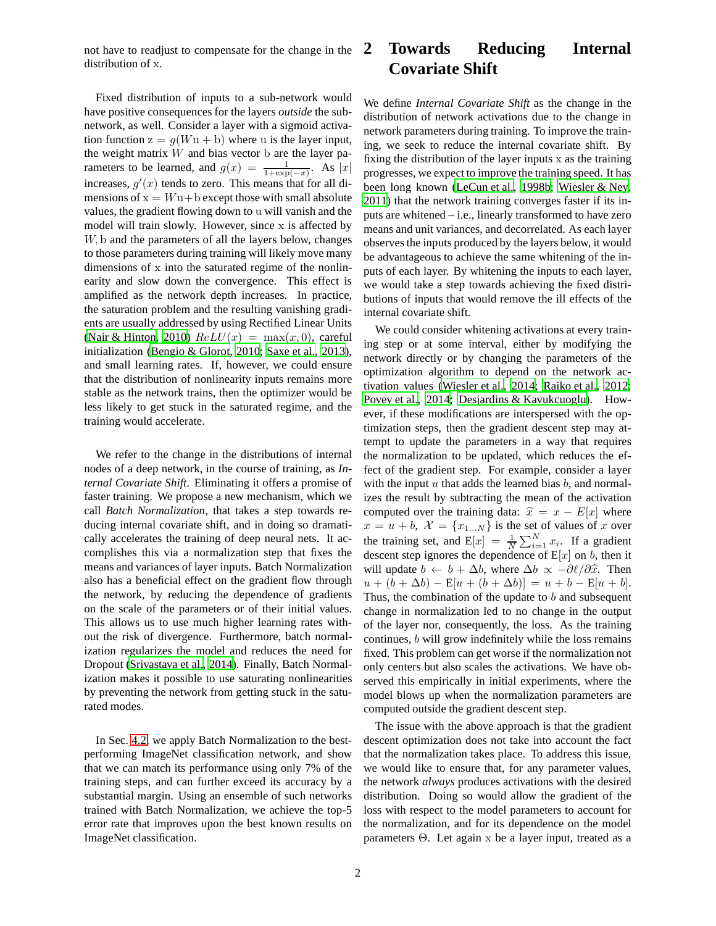not have to readjust to compensate for the change in the distribution of x.

Fixed distribution of inputs to a sub-network would have positive consequences for the layers *outside* the subnetwork, as well. Consider a layer with a sigmoid activation function  $z = g(Wu + b)$  where u is the layer input, the weight matrix  $W$  and bias vector  $b$  are the layer parameters to be learned, and  $g(x) = \frac{1}{1 + \exp(-x)}$ . As  $|x|$ increases,  $g'(x)$  tends to zero. This means that for all dimensions of  $x = Wu + b$  except those with small absolute values, the gradient flowing down to u will vanish and the model will train slowly. However, since x is affected by W, b and the parameters of all the layers below, changes to those parameters during training will likely move many dimensions of x into the saturated regime of the nonlinearity and slow down the convergence. This effect is amplified as the network depth increases. In practice, the saturation problem and the resulting vanishing gradients are usually addressed by using Rectified Linear Units [\(Nair & Hinton, 2010\)](#page-8-3)  $ReLU(x) = max(x, 0)$ , careful initialization [\(Bengio & Glorot, 2010](#page-7-1); [Saxe et al., 2013](#page-8-4)), and small learning rates. If, however, we could ensure that the distribution of nonlinearity inputs remains more stable as the network trains, then the optimizer would be less likely to get stuck in the saturated regime, and the training would accelerate.

We refer to the change in the distributions of internal nodes of a deep network, in the course of training, as *Internal Covariate Shift*. Eliminating it offers a promise of faster training. We propose a new mechanism, which we call *Batch Normalization*, that takes a step towards reducing internal covariate shift, and in doing so dramatically accelerates the training of deep neural nets. It accomplishes this via a normalization step that fixes the means and variances of layer inputs. Batch Normalization also has a beneficial effect on the gradient flow through the network, by reducing the dependence of gradients on the scale of the parameters or of their initial values. This allows us to use much higher learning rates without the risk of divergence. Furthermore, batch normalization regularizes the model and reduces the need for Dropout [\(Srivastava et al., 2014\)](#page-8-5). Finally, Batch Normalization makes it possible to use saturating nonlinearities by preventing the network from getting stuck in the saturated modes.

In Sec. [4.2,](#page-5-0) we apply Batch Normalization to the bestperforming ImageNet classification network, and show that we can match its performance using only 7% of the training steps, and can further exceed its accuracy by a substantial margin. Using an ensemble of such networks trained with Batch Normalization, we achieve the top-5 error rate that improves upon the best known results on ImageNet classification.

## **2 Towards Reducing Internal Covariate Shift**

We define *Internal Covariate Shift* as the change in the distribution of network activations due to the change in network parameters during training. To improve the training, we seek to reduce the internal covariate shift. By fixing the distribution of the layer inputs x as the training progresses, we expect to improve the training speed. It has been long known [\(LeCun et al.](#page-8-6), [1998b;](#page-8-6) [Wiesler & Ney,](#page-8-7) [2011\)](#page-8-7) that the network training converges faster if its inputs are whitened – i.e., linearly transformed to have zero means and unit variances, and decorrelated. As each layer observes the inputs produced by the layers below, it would be advantageous to achieve the same whitening of the inputs of each layer. By whitening the inputs to each layer, we would take a step towards achieving the fixed distributions of inputs that would remove the ill effects of the internal covariate shift.

We could consider whitening activations at every training step or at some interval, either by modifying the network directly or by changing the parameters of the optimization algorithm to depend on the network activation values [\(Wiesler et al., 2014;](#page-8-8) [Raiko et al.](#page-8-9), [2012](#page-8-9); [Povey et al.](#page-8-10), [2014;](#page-8-10) [Desjardins & Kavukcuoglu\)](#page-7-2). However, if these modifications are interspersed with the optimization steps, then the gradient descent step may attempt to update the parameters in a way that requires the normalization to be updated, which reduces the effect of the gradient step. For example, consider a layer with the input  $u$  that adds the learned bias  $b$ , and normalizes the result by subtracting the mean of the activation computed over the training data:  $\hat{x} = x - E[x]$  where  $x = u + b$ ,  $\mathcal{X} = \{x_{1...N}\}\$ is the set of values of x over the training set, and  $E[x] = \frac{1}{N} \sum_{i=1}^{N} x_i$ . If a gradient descent step ignores the dependence of  $E[x]$  on b, then it will update  $b \leftarrow b + \Delta b$ , where  $\Delta b \propto -\partial \ell / \partial \hat{x}$ . Then  $u + (b + \Delta b) - E[u + (b + \Delta b)] = u + b - E[u + b].$ Thus, the combination of the update to  $b$  and subsequent change in normalization led to no change in the output of the layer nor, consequently, the loss. As the training continues, b will grow indefinitely while the loss remains fixed. This problem can get worse if the normalization not only centers but also scales the activations. We have observed this empirically in initial experiments, where the model blows up when the normalization parameters are computed outside the gradient descent step.

The issue with the above approach is that the gradient descent optimization does not take into account the fact that the normalization takes place. To address this issue, we would like to ensure that, for any parameter values, the network *always* produces activations with the desired distribution. Doing so would allow the gradient of the loss with respect to the model parameters to account for the normalization, and for its dependence on the model parameters Θ. Let again x be a layer input, treated as a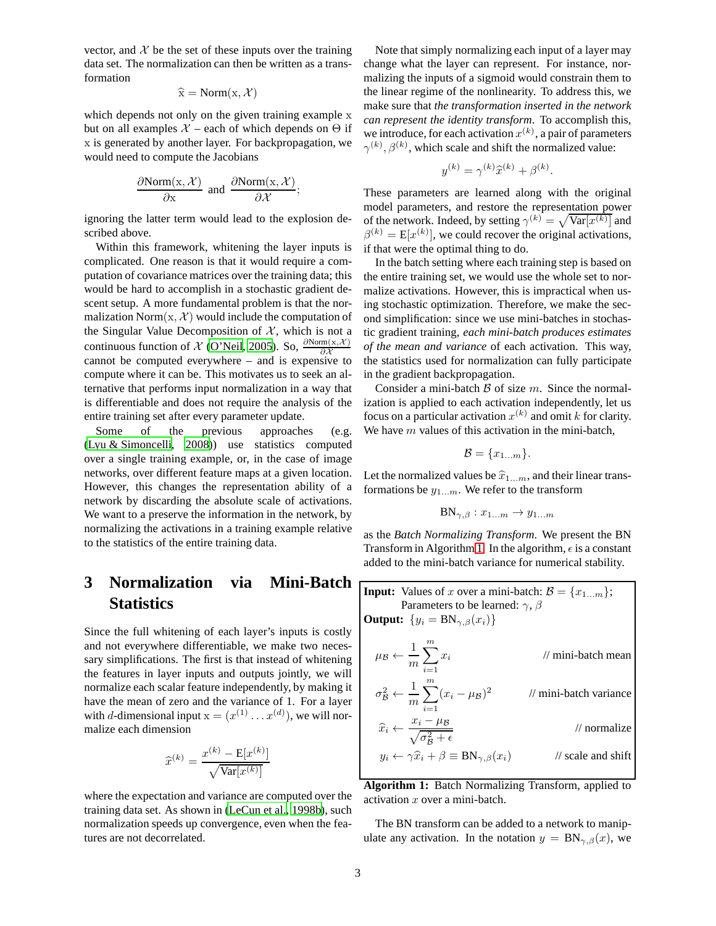vector, and  $X$  be the set of these inputs over the training data set. The normalization can then be written as a transformation

$$
\widehat{\mathbf{x}} = \text{Norm}(\mathbf{x}, \mathcal{X})
$$

which depends not only on the given training example x but on all examples  $X$  – each of which depends on  $\Theta$  if x is generated by another layer. For backpropagation, we would need to compute the Jacobians

$$
\frac{\partial \text{Norm}(\mathbf{x}, \mathcal{X})}{\partial \mathbf{x}} \text{ and } \frac{\partial \text{Norm}(\mathbf{x}, \mathcal{X})}{\partial \mathcal{X}};
$$

ignoring the latter term would lead to the explosion described above.

Within this framework, whitening the layer inputs is complicated. One reason is that it would require a computation of covariance matrices over the training data; this would be hard to accomplish in a stochastic gradient descent setup. A more fundamental problem is that the normalization Norm $(x, \mathcal{X})$  would include the computation of the Singular Value Decomposition of  $X$ , which is not a continuous function of  $\chi$  [\(O'Neil, 2005\)](#page-8-11). So,  $\frac{\partial \text{Norm}(x, \mathcal{X})}{\partial \mathcal{X}}$ cannot be computed everywhere – and is expensive to compute where it can be. This motivates us to seek an alternative that performs input normalization in a way that is differentiable and does not require the analysis of the entire training set after every parameter update.

Some of the previous approaches (e.g. [\(Lyu & Simoncelli, 2008\)](#page-8-12)) use statistics computed over a single training example, or, in the case of image networks, over different feature maps at a given location. However, this changes the representation ability of a network by discarding the absolute scale of activations. We want to a preserve the information in the network, by normalizing the activations in a training example relative to the statistics of the entire training data.

## **3 Normalization via Mini-Batch Statistics**

Since the full whitening of each layer's inputs is costly and not everywhere differentiable, we make two necessary simplifications. The first is that instead of whitening the features in layer inputs and outputs jointly, we will normalize each scalar feature independently, by making it have the mean of zero and the variance of 1. For a layer with *d*-dimensional input  $x = (x^{(1)} \dots x^{(d)})$ , we will normalize each dimension

$$
\widehat{x}^{(k)} = \frac{x^{(k)} - \mathbf{E}[x^{(k)}]}{\sqrt{\mathbf{Var}[x^{(k)}]}}
$$

where the expectation and variance are computed over the training data set. As shown in [\(LeCun et al., 1998b\)](#page-8-6), such normalization speeds up convergence, even when the features are not decorrelated.

Note that simply normalizing each input of a layer may change what the layer can represent. For instance, normalizing the inputs of a sigmoid would constrain them to the linear regime of the nonlinearity. To address this, we make sure that *the transformation inserted in the network can represent the identity transform*. To accomplish this, we introduce, for each activation  $x^{(k)}$ , a pair of parameters  $\gamma^{(k)}$ ,  $\beta^{(k)}$ , which scale and shift the normalized value:

$$
y^{(k)} = \gamma^{(k)}\widehat{x}^{(k)} + \beta^{(k)}
$$

.

These parameters are learned along with the original model parameters, and restore the representation power of the network. Indeed, by setting  $\gamma^{(k)} = \sqrt{\text{Var}[x^{(k)}]}$  and  $\beta^{(k)} = E[x^{(k)}]$ , we could recover the original activations, if that were the optimal thing to do.

In the batch setting where each training step is based on the entire training set, we would use the whole set to normalize activations. However, this is impractical when using stochastic optimization. Therefore, we make the second simplification: since we use mini-batches in stochastic gradient training, *each mini-batch produces estimates of the mean and variance* of each activation. This way, the statistics used for normalization can fully participate in the gradient backpropagation.

Consider a mini-batch  $\beta$  of size m. Since the normalization is applied to each activation independently, let us focus on a particular activation  $x^{(k)}$  and omit k for clarity. We have  $m$  values of this activation in the mini-batch,

$$
\mathcal{B} = \{x_{1...m}\}.
$$

Let the normalized values be  $\hat{x}_{1...m}$ , and their linear transformations be  $y_{1...m}$ . We refer to the transform

$$
BN_{\gamma,\beta}: x_{1...m} \to y_{1...m}
$$

as the *Batch Normalizing Transform*. We present the BN Transform in Algorithm [1.](#page-2-0) In the algorithm,  $\epsilon$  is a constant added to the mini-batch variance for numerical stability.

<span id="page-2-0"></span>**Input:** Values of *x* over a mini-batch: 
$$
B = \{x_{1...m}\};
$$
  
\nParameters to be learned:  $\gamma, \beta$   
\n**Output:**  $\{y_i = \text{BN}_{\gamma,\beta}(x_i)\}$   
\n $\mu_B \leftarrow \frac{1}{m} \sum_{i=1}^m x_i$  // mini-batch mean  
\n $\sigma_B^2 \leftarrow \frac{1}{m} \sum_{i=1}^m (x_i - \mu_B)^2$  // mini-batch variance  
\n $\widehat{x}_i \leftarrow \frac{x_i - \mu_B}{\sqrt{\sigma_B^2 + \epsilon}}$  // normalize  
\n $y_i \leftarrow \gamma \widehat{x}_i + \beta \equiv \text{BN}_{\gamma,\beta}(x_i)$  // scale and shift

**Algorithm 1:** Batch Normalizing Transform, applied to activation  $x$  over a mini-batch.

The BN transform can be added to a network to manipulate any activation. In the notation  $y = BN_{\gamma,\beta}(x)$ , we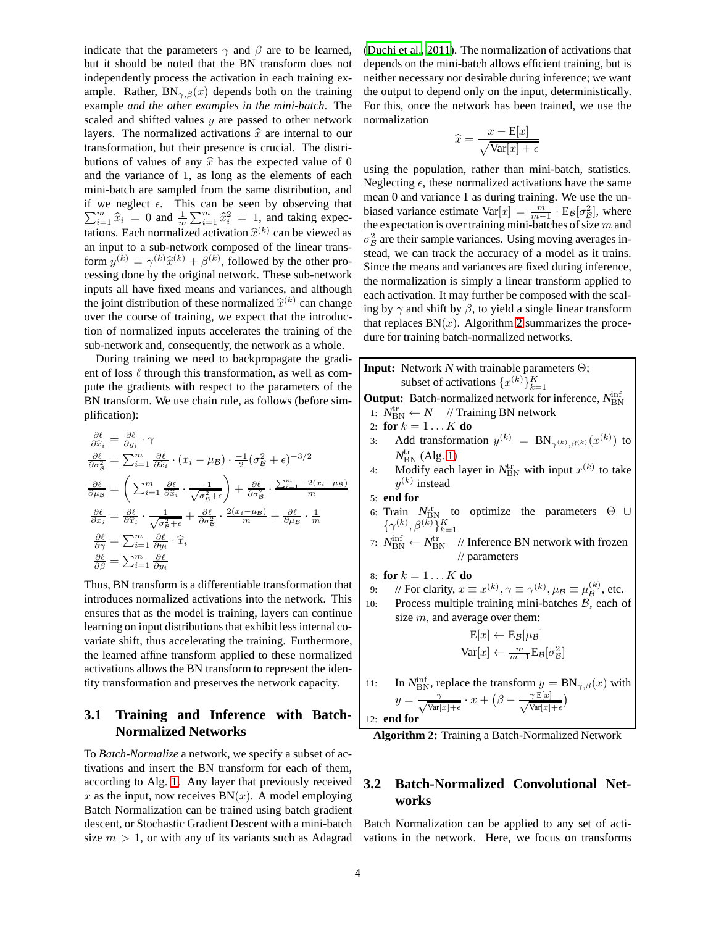indicate that the parameters  $\gamma$  and  $\beta$  are to be learned, but it should be noted that the BN transform does not independently process the activation in each training example. Rather,  $BN_{\gamma,\beta}(x)$  depends both on the training example *and the other examples in the mini-batch*. The scaled and shifted values  $y$  are passed to other network layers. The normalized activations  $\hat{x}$  are internal to our transformation, but their presence is crucial. The distributions of values of any  $\hat{x}$  has the expected value of 0 and the variance of 1, as long as the elements of each mini-batch are sampled from the same distribution, and  $\sum_{i=1}^{m} \hat{x}_i = 0$  and  $\frac{1}{m} \sum_{i=1}^{m} \hat{x}_i^2 = 1$ , and taking expecif we neglect  $\epsilon$ . This can be seen by observing that tations. Each normalized activation  $\hat{x}^{(k)}$  can be viewed as an input to a sub-network composed of the linear transform  $y^{(k)} = \gamma^{(k)} \hat{x}^{(k)} + \beta^{(k)}$ , followed by the other processing done by the original network. These sub-network inputs all have fixed means and variances, and although the joint distribution of these normalized  $\hat{x}^{(k)}$  can change over the course of training, we expect that the introduction of normalized inputs accelerates the training of the sub-network and, consequently, the network as a whole.

During training we need to backpropagate the gradient of loss  $\ell$  through this transformation, as well as compute the gradients with respect to the parameters of the BN transform. We use chain rule, as follows (before simplification):

$$
\frac{\partial \ell}{\partial \hat{x}_i} = \frac{\partial \ell}{\partial y_i} \cdot \gamma
$$
\n
$$
\frac{\partial \ell}{\partial \sigma_B^2} = \sum_{i=1}^m \frac{\partial \ell}{\partial \hat{x}_i} \cdot (x_i - \mu_B) \cdot \frac{-1}{2} (\sigma_B^2 + \epsilon)^{-3/2}
$$
\n
$$
\frac{\partial \ell}{\partial \mu_B} = \left( \sum_{i=1}^m \frac{\partial \ell}{\partial \hat{x}_i} \cdot \frac{-1}{\sqrt{\sigma_B^2 + \epsilon}} \right) + \frac{\partial \ell}{\partial \sigma_B^2} \cdot \frac{\sum_{i=1}^m -2(x_i - \mu_B)}{m}
$$
\n
$$
\frac{\partial \ell}{\partial x_i} = \frac{\partial \ell}{\partial \hat{x}_i} \cdot \frac{1}{\sqrt{\sigma_B^2 + \epsilon}} + \frac{\partial \ell}{\partial \sigma_B^2} \cdot \frac{2(x_i - \mu_B)}{m} + \frac{\partial \ell}{\partial \mu_B} \cdot \frac{1}{m}
$$
\n
$$
\frac{\partial \ell}{\partial \gamma} = \sum_{i=1}^m \frac{\partial \ell}{\partial y_i} \cdot \hat{x}_i
$$
\n
$$
\frac{\partial \ell}{\partial \beta} = \sum_{i=1}^m \frac{\partial \ell}{\partial y_i}
$$

Thus, BN transform is a differentiable transformation that introduces normalized activations into the network. This ensures that as the model is training, layers can continue learning on input distributions that exhibit less internal covariate shift, thus accelerating the training. Furthermore, the learned affine transform applied to these normalized activations allows the BN transform to represent the identity transformation and preserves the network capacity.

#### <span id="page-3-1"></span>**3.1 Training and Inference with Batch-Normalized Networks**

To *Batch-Normalize* a network, we specify a subset of activations and insert the BN transform for each of them, according to Alg. [1.](#page-2-0) Any layer that previously received x as the input, now receives  $BN(x)$ . A model employing Batch Normalization can be trained using batch gradient descent, or Stochastic Gradient Descent with a mini-batch size  $m > 1$ , or with any of its variants such as Adagrad

[\(Duchi et al., 2011](#page-7-0)). The normalization of activations that depends on the mini-batch allows efficient training, but is neither necessary nor desirable during inference; we want the output to depend only on the input, deterministically. For this, once the network has been trained, we use the normalization

$$
\widehat{x} = \frac{x - \mathbf{E}[x]}{\sqrt{\text{Var}[x] + \epsilon}}
$$

using the population, rather than mini-batch, statistics. Neglecting  $\epsilon$ , these normalized activations have the same mean 0 and variance 1 as during training. We use the unbiased variance estimate  $Var[x] = \frac{m}{m-1} \cdot E_{\mathcal{B}}[\sigma_{\mathcal{B}}^2]$ , where the expectation is over training mini-batches of size m and  $\sigma_B^2$  are their sample variances. Using moving averages instead, we can track the accuracy of a model as it trains. Since the means and variances are fixed during inference, the normalization is simply a linear transform applied to each activation. It may further be composed with the scaling by  $\gamma$  and shift by  $\beta$ , to yield a single linear transform that replaces  $BN(x)$ . Algorithm [2](#page-3-0) summarizes the procedure for training batch-normalized networks.

<span id="page-3-0"></span>**Input:** Network <sup>N</sup> with trainable parameters Θ; subset of activations  $\{x^{(k)}\}_{k=1}^K$ **Output:** Batch-normalized network for inference,  $N_{\text{BN}}^{\text{inf}}$ 1:  $N_{\text{BN}}^{\text{tr}} \leftarrow N$  // Training BN network 2: **for**  $k = 1...K$  **do** 3: Add transformation  $y^{(k)} = BN_{\gamma^{(k)}, \beta^{(k)}}(x^{(k)})$  to  $N_{\rm BN}^{\rm tr}$  (Alg. [1\)](#page-2-0) 4: Modify each layer in  $N_{\text{BN}}^{\text{tr}}$  with input  $x^{(k)}$  to take  $y^{(k)}$  instead 5: **end for** 6: Train  $N_{\rm BN}^{\rm tr}$  to optimize the parameters  $\Theta \cup$  $\{\gamma^{(k)}, \beta^{(k)}\}_{k=1}^K$ 7:  $N_{\text{BN}}^{\text{inf}} \leftarrow N_{\text{BN}}^{\text{tr}}$  // Inference BN network with frozen // parameters 8: **for**  $k = 1...K$  **do** 9: // For clarity,  $x \equiv x^{(k)}$ ,  $\gamma \equiv \gamma^{(k)}$ ,  $\mu_{\mathcal{B}} \equiv \mu_{\mathcal{B}}^{(k)}$ , etc. 10: Process multiple training mini-batches  $\beta$ , each of size  $m$ , and average over them:  $E[x] \leftarrow E_{\mathcal{B}}[\mu_{\mathcal{B}}]$  $\text{Var}[x] \leftarrow \frac{m}{m-1} \text{E}_{\mathcal{B}}[\sigma_{\mathcal{B}}^2]$ 11: In  $N_{\text{BN}}^{\text{inf}}$ , replace the transform  $y = \text{BN}_{\gamma,\beta}(x)$  with  $y = \frac{\gamma}{\sqrt{\text{Var}}$  $\frac{\gamma}{\text{Var}[x]+\epsilon} \cdot x + \big(\beta - \frac{\gamma \operatorname{E}[x]}{\sqrt{\text{Var}[x]}}\big)$  $\frac{\gamma E[x]}{\text{Var}[x]+\epsilon}$ 12: **end for Algorithm 2:** Training a Batch-Normalized Network

### <span id="page-3-2"></span>**3.2 Batch-Normalized Convolutional Networks**

Batch Normalization can be applied to any set of activations in the network. Here, we focus on transforms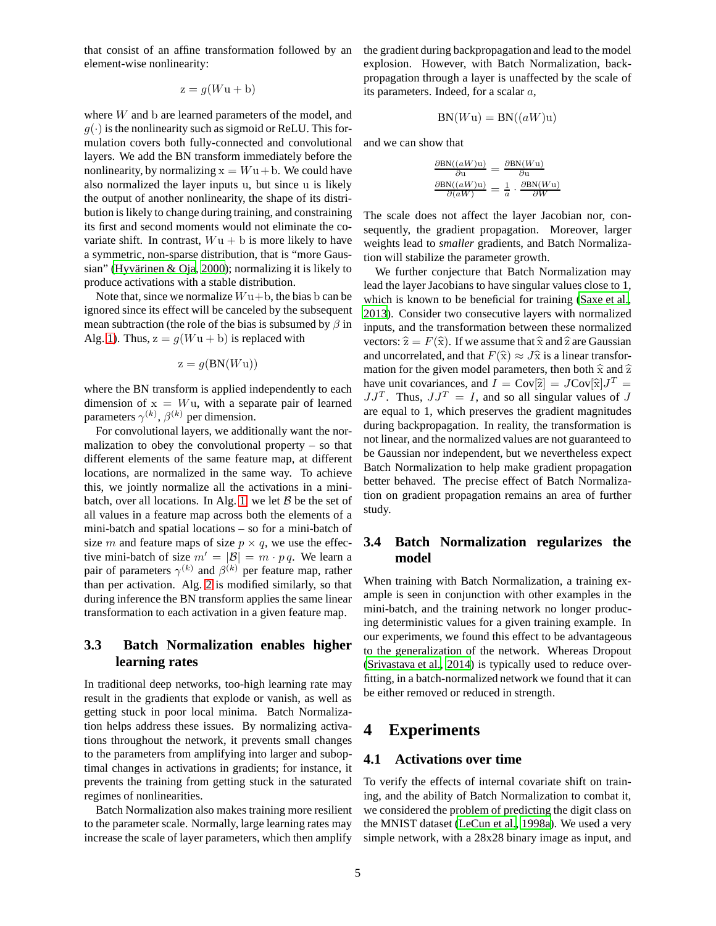that consist of an affine transformation followed by an element-wise nonlinearity:

$$
z = g(Wu + b)
$$

where W and b are learned parameters of the model, and  $g(\cdot)$  is the nonlinearity such as sigmoid or ReLU. This formulation covers both fully-connected and convolutional layers. We add the BN transform immediately before the nonlinearity, by normalizing  $x = Wu + b$ . We could have also normalized the layer inputs u, but since u is likely the output of another nonlinearity, the shape of its distribution is likely to change during training, and constraining its first and second moments would not eliminate the covariate shift. In contrast,  $Wu + b$  is more likely to have a symmetric, non-sparse distribution, that is "more Gaus-sian" (Hyvärinen & Oja, [2000](#page-8-13)); normalizing it is likely to produce activations with a stable distribution.

Note that, since we normalize  $Wu + b$ , the bias b can be ignored since its effect will be canceled by the subsequent mean subtraction (the role of the bias is subsumed by  $\beta$  in Alg. [1\)](#page-2-0). Thus,  $z = g(Wu + b)$  is replaced with

$$
z = g(BN(Wu))
$$

where the BN transform is applied independently to each dimension of  $x = Wu$ , with a separate pair of learned parameters  $\gamma^{(k)}$ ,  $\beta^{(k)}$  per dimension.

For convolutional layers, we additionally want the normalization to obey the convolutional property – so that different elements of the same feature map, at different locations, are normalized in the same way. To achieve this, we jointly normalize all the activations in a mini-batch, over all locations. In Alg. [1,](#page-2-0) we let  $B$  be the set of all values in a feature map across both the elements of a mini-batch and spatial locations – so for a mini-batch of size m and feature maps of size  $p \times q$ , we use the effective mini-batch of size  $m' = |\mathcal{B}| = m \cdot p q$ . We learn a pair of parameters  $\gamma^{(k)}$  and  $\beta^{(k)}$  per feature map, rather than per activation. Alg. [2](#page-3-0) is modified similarly, so that during inference the BN transform applies the same linear transformation to each activation in a given feature map.

### <span id="page-4-0"></span>**3.3 Batch Normalization enables higher learning rates**

In traditional deep networks, too-high learning rate may result in the gradients that explode or vanish, as well as getting stuck in poor local minima. Batch Normalization helps address these issues. By normalizing activations throughout the network, it prevents small changes to the parameters from amplifying into larger and suboptimal changes in activations in gradients; for instance, it prevents the training from getting stuck in the saturated regimes of nonlinearities.

Batch Normalization also makes training more resilient to the parameter scale. Normally, large learning rates may increase the scale of layer parameters, which then amplify the gradient during backpropagation and lead to the model explosion. However, with Batch Normalization, backpropagation through a layer is unaffected by the scale of its parameters. Indeed, for a scalar a,

$$
BN(Wu) = BN((aW)u)
$$

and we can show that

$$
\frac{\partial \textrm{BN}((aW)u)}{\partial u} = \frac{\partial \textrm{BN}(Wu)}{\partial u} \n\frac{\partial \textrm{BN}((aW)u)}{\partial (aW)} = \frac{1}{a} \cdot \frac{\partial \textrm{BN}(Wu)}{\partial W}
$$

The scale does not affect the layer Jacobian nor, consequently, the gradient propagation. Moreover, larger weights lead to *smaller* gradients, and Batch Normalization will stabilize the parameter growth.

We further conjecture that Batch Normalization may lead the layer Jacobians to have singular values close to 1, which is known to be beneficial for training [\(Saxe et al.,](#page-8-4) [2013\)](#page-8-4). Consider two consecutive layers with normalized inputs, and the transformation between these normalized vectors:  $\hat{z} = F(\hat{x})$ . If we assume that  $\hat{x}$  and  $\hat{z}$  are Gaussian and uncorrelated, and that  $F(\hat{x}) \approx J\hat{x}$  is a linear transformation for the given model parameters, then both  $\hat{x}$  and  $\hat{z}$ have unit covariances, and  $I = \text{Cov}[\hat{z}] = J \text{Cov}[\hat{x}] J^T =$  $JJ^T$ . Thus,  $JJ^T = I$ , and so all singular values of J are equal to 1, which preserves the gradient magnitudes during backpropagation. In reality, the transformation is not linear, and the normalized values are not guaranteed to be Gaussian nor independent, but we nevertheless expect Batch Normalization to help make gradient propagation better behaved. The precise effect of Batch Normalization on gradient propagation remains an area of further study.

### <span id="page-4-1"></span>**3.4 Batch Normalization regularizes the model**

When training with Batch Normalization, a training example is seen in conjunction with other examples in the mini-batch, and the training network no longer producing deterministic values for a given training example. In our experiments, we found this effect to be advantageous to the generalization of the network. Whereas Dropout [\(Srivastava et al., 2014\)](#page-8-5) is typically used to reduce overfitting, in a batch-normalized network we found that it can be either removed or reduced in strength.

## **4 Experiments**

#### **4.1 Activations over time**

To verify the effects of internal covariate shift on training, and the ability of Batch Normalization to combat it, we considered the problem of predicting the digit class on the MNIST dataset [\(LeCun et al.](#page-8-14), [1998a\)](#page-8-14). We used a very simple network, with a 28x28 binary image as input, and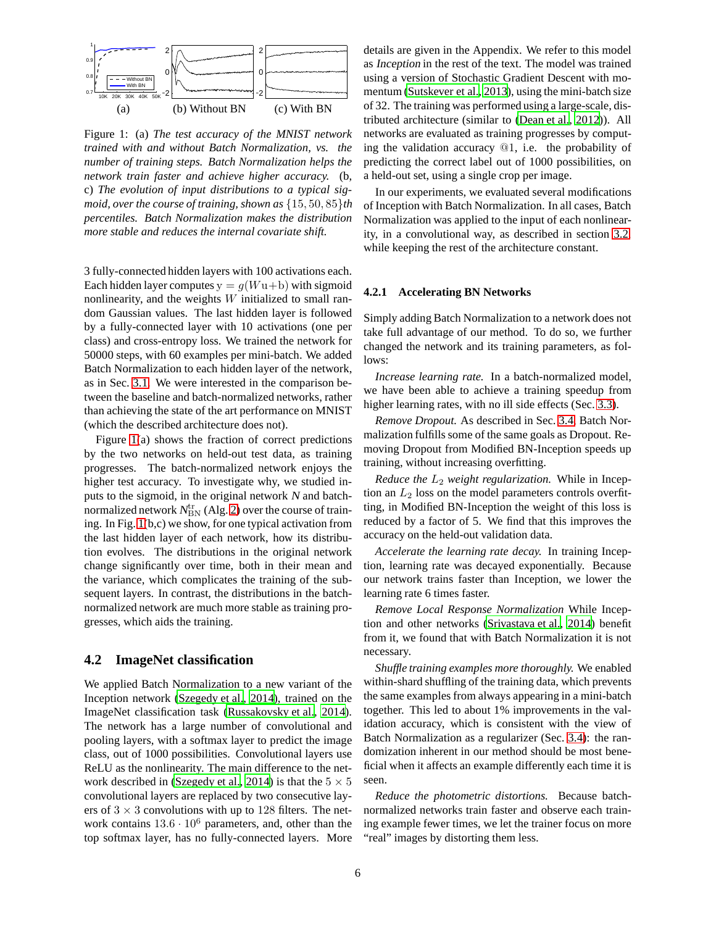

<span id="page-5-1"></span>Figure 1: (a) *The test accuracy of the MNIST network trained with and without Batch Normalization, vs. the number of training steps. Batch Normalization helps the network train faster and achieve higher accuracy.* (b, c) *The evolution of input distributions to a typical sigmoid, over the course of training, shown as* {15, 50, 85}*th percentiles. Batch Normalization makes the distribution more stable and reduces the internal covariate shift.*

3 fully-connected hidden layers with 100 activations each. Each hidden layer computes  $y = g(Wu+b)$  with sigmoid nonlinearity, and the weights  $W$  initialized to small random Gaussian values. The last hidden layer is followed by a fully-connected layer with 10 activations (one per class) and cross-entropy loss. We trained the network for 50000 steps, with 60 examples per mini-batch. We added Batch Normalization to each hidden layer of the network, as in Sec. [3.1.](#page-3-1) We were interested in the comparison between the baseline and batch-normalized networks, rather than achieving the state of the art performance on MNIST (which the described architecture does not).

Figure [1\(](#page-5-1)a) shows the fraction of correct predictions by the two networks on held-out test data, as training progresses. The batch-normalized network enjoys the higher test accuracy. To investigate why, we studied inputs to the sigmoid, in the original network <sup>N</sup> and batchnormalized network  $N^{\rm tr}_{\rm BN}$  (Alg. [2\)](#page-3-0) over the course of training. In Fig. [1\(](#page-5-1)b,c) we show, for one typical activation from the last hidden layer of each network, how its distribution evolves. The distributions in the original network change significantly over time, both in their mean and the variance, which complicates the training of the subsequent layers. In contrast, the distributions in the batchnormalized network are much more stable as training progresses, which aids the training.

#### <span id="page-5-0"></span>**4.2 ImageNet classification**

We applied Batch Normalization to a new variant of the Inception network [\(Szegedy et al.](#page-8-15), [2014](#page-8-15)), trained on the ImageNet classification task [\(Russakovsky et al., 2014](#page-8-16)). The network has a large number of convolutional and pooling layers, with a softmax layer to predict the image class, out of 1000 possibilities. Convolutional layers use ReLU as the nonlinearity. The main difference to the net-work described in [\(Szegedy et al.](#page-8-15), [2014\)](#page-8-15) is that the  $5 \times 5$ convolutional layers are replaced by two consecutive layers of  $3 \times 3$  convolutions with up to 128 filters. The network contains  $13.6 \cdot 10^6$  parameters, and, other than the top softmax layer, has no fully-connected layers. More details are given in the Appendix. We refer to this model as Inception in the rest of the text. The model was trained using a version of Stochastic Gradient Descent with momentum [\(Sutskever et al., 2013\)](#page-8-0), using the mini-batch size of 32. The training was performed using a large-scale, distributed architecture (similar to [\(Dean et al., 2012\)](#page-7-3)). All networks are evaluated as training progresses by computing the validation accuracy @1, i.e. the probability of predicting the correct label out of 1000 possibilities, on a held-out set, using a single crop per image.

In our experiments, we evaluated several modifications of Inception with Batch Normalization. In all cases, Batch Normalization was applied to the input of each nonlinearity, in a convolutional way, as described in section [3.2,](#page-3-2) while keeping the rest of the architecture constant.

#### <span id="page-5-2"></span>**4.2.1 Accelerating BN Networks**

Simply adding Batch Normalization to a network does not take full advantage of our method. To do so, we further changed the network and its training parameters, as follows:

*Increase learning rate.* In a batch-normalized model, we have been able to achieve a training speedup from higher learning rates, with no ill side effects (Sec. [3.3\)](#page-4-0).

*Remove Dropout.* As described in Sec. [3.4,](#page-4-1) Batch Normalization fulfills some of the same goals as Dropout. Removing Dropout from Modified BN-Inception speeds up training, without increasing overfitting.

*Reduce the*  $L_2$  *weight regularization.* While in Inception an  $L_2$  loss on the model parameters controls overfitting, in Modified BN-Inception the weight of this loss is reduced by a factor of 5. We find that this improves the accuracy on the held-out validation data.

*Accelerate the learning rate decay.* In training Inception, learning rate was decayed exponentially. Because our network trains faster than Inception, we lower the learning rate 6 times faster.

*Remove Local Response Normalization* While Inception and other networks [\(Srivastava et al.](#page-8-5), [2014\)](#page-8-5) benefit from it, we found that with Batch Normalization it is not necessary.

*Shuffle training examples more thoroughly.* We enabled within-shard shuffling of the training data, which prevents the same examples from always appearing in a mini-batch together. This led to about 1% improvements in the validation accuracy, which is consistent with the view of Batch Normalization as a regularizer (Sec. [3.4\)](#page-4-1): the randomization inherent in our method should be most beneficial when it affects an example differently each time it is seen.

*Reduce the photometric distortions.* Because batchnormalized networks train faster and observe each training example fewer times, we let the trainer focus on more "real" images by distorting them less.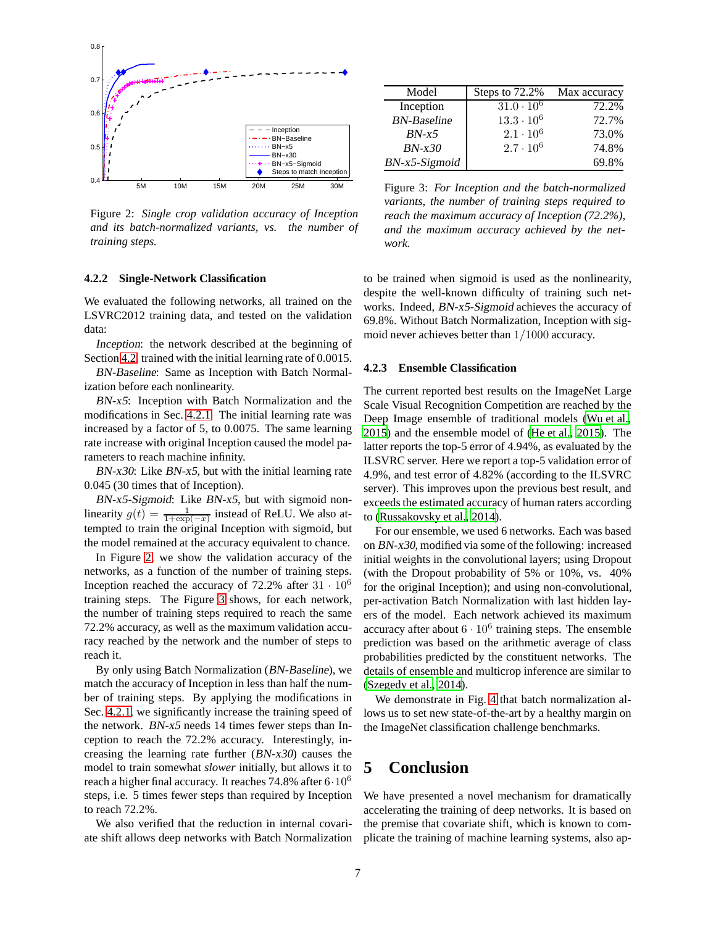

<span id="page-6-0"></span>Figure 2: *Single crop validation accuracy of Inception and its batch-normalized variants, vs. the number of training steps.*

#### **4.2.2 Single-Network Classification**

We evaluated the following networks, all trained on the LSVRC2012 training data, and tested on the validation data:

Inception: the network described at the beginning of Section [4.2,](#page-5-0) trained with the initial learning rate of 0.0015.

BN-Baseline: Same as Inception with Batch Normalization before each nonlinearity.

BN-x5: Inception with Batch Normalization and the modifications in Sec. [4.2.1.](#page-5-2) The initial learning rate was increased by a factor of 5, to 0.0075. The same learning rate increase with original Inception caused the model parameters to reach machine infinity.

BN-x30: Like BN-x5, but with the initial learning rate 0.045 (30 times that of Inception).

BN-x5-Sigmoid: Like BN-x5, but with sigmoid nonlinearity  $g(t) = \frac{1}{1 + \exp(-x)}$  instead of ReLU. We also attempted to train the original Inception with sigmoid, but the model remained at the accuracy equivalent to chance.

In Figure [2,](#page-6-0) we show the validation accuracy of the networks, as a function of the number of training steps. Inception reached the accuracy of 72.2% after  $31 \cdot 10^6$ training steps. The Figure [3](#page-6-1) shows, for each network, the number of training steps required to reach the same 72.2% accuracy, as well as the maximum validation accuracy reached by the network and the number of steps to reach it.

By only using Batch Normalization (BN-Baseline), we match the accuracy of Inception in less than half the number of training steps. By applying the modifications in Sec. [4.2.1,](#page-5-2) we significantly increase the training speed of the network. BN-x5 needs 14 times fewer steps than Inception to reach the 72.2% accuracy. Interestingly, increasing the learning rate further (BN-x30) causes the model to train somewhat *slower* initially, but allows it to reach a higher final accuracy. It reaches 74.8% after  $6 \cdot 10^6$ steps, i.e. 5 times fewer steps than required by Inception to reach 72.2%.

We also verified that the reduction in internal covariate shift allows deep networks with Batch Normalization

| Model              | Steps to 72.2%    | Max accuracy |
|--------------------|-------------------|--------------|
| Inception          | $31.0 \cdot 10^6$ | 72.2%        |
| <b>BN-Baseline</b> | $13.3 \cdot 10^6$ | 72.7%        |
| $BN-x5$            | $2.1 \cdot 10^6$  | 73.0%        |
| $BN-x30$           | $2.7 \cdot 10^6$  | 74.8%        |
| BN-x5-Sigmoid      |                   | 69.8%        |

<span id="page-6-1"></span>Figure 3: *For Inception and the batch-normalized variants, the number of training steps required to reach the maximum accuracy of Inception (72.2%), and the maximum accuracy achieved by the network.*

to be trained when sigmoid is used as the nonlinearity, despite the well-known difficulty of training such networks. Indeed, BN-x5-Sigmoid achieves the accuracy of 69.8%. Without Batch Normalization, Inception with sigmoid never achieves better than 1/1000 accuracy.

#### **4.2.3 Ensemble Classification**

The current reported best results on the ImageNet Large Scale Visual Recognition Competition are reached by the Deep Image ensemble of traditional models [\(Wu et al.,](#page-8-17) [2015\)](#page-8-17) and the ensemble model of [\(He et al., 2015\)](#page-8-18). The latter reports the top-5 error of 4.94%, as evaluated by the ILSVRC server. Here we report a top-5 validation error of 4.9%, and test error of 4.82% (according to the ILSVRC server). This improves upon the previous best result, and exceeds the estimated accuracy of human raters according to [\(Russakovsky et al., 2014\)](#page-8-16).

For our ensemble, we used 6 networks. Each was based on BN-x30, modified via some of the following: increased initial weights in the convolutional layers; using Dropout (with the Dropout probability of 5% or 10%, vs. 40% for the original Inception); and using non-convolutional, per-activation Batch Normalization with last hidden layers of the model. Each network achieved its maximum accuracy after about  $6 \cdot 10^6$  training steps. The ensemble prediction was based on the arithmetic average of class probabilities predicted by the constituent networks. The details of ensemble and multicrop inference are similar to [\(Szegedy et al., 2014\)](#page-8-15).

We demonstrate in Fig. [4](#page-7-4) that batch normalization allows us to set new state-of-the-art by a healthy margin on the ImageNet classification challenge benchmarks.

## **5 Conclusion**

We have presented a novel mechanism for dramatically accelerating the training of deep networks. It is based on the premise that covariate shift, which is known to complicate the training of machine learning systems, also ap-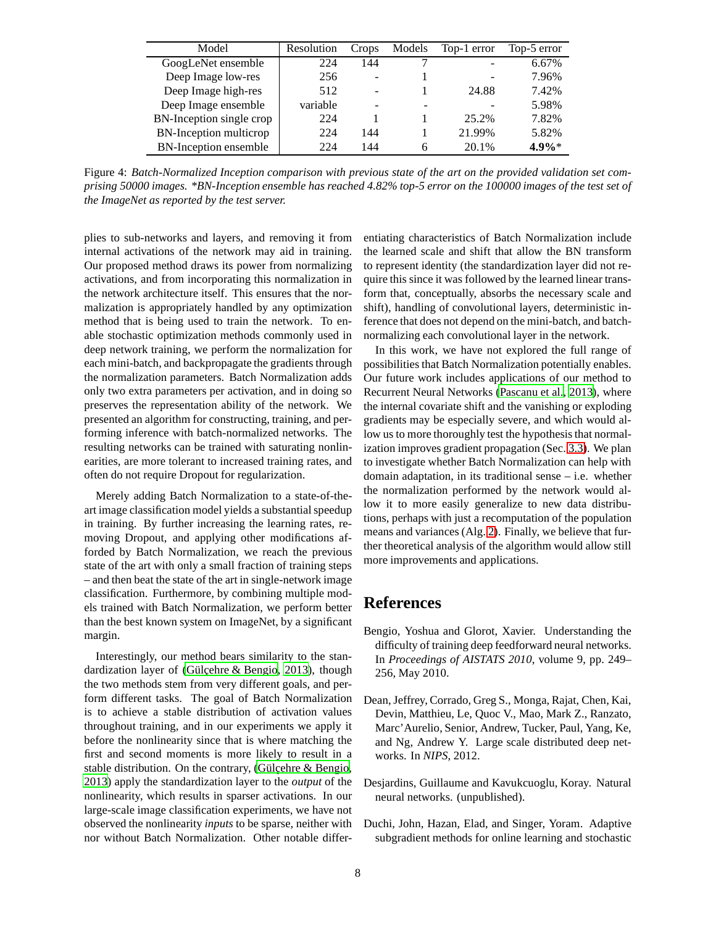| Model                        | Resolution | Crops                    | Models | Top-1 error | Top-5 error |
|------------------------------|------------|--------------------------|--------|-------------|-------------|
| GoogLeNet ensemble           | 224        | 144                      |        |             | 6.67%       |
| Deep Image low-res           | 256        | $\overline{\phantom{0}}$ |        |             | 7.96%       |
| Deep Image high-res          | 512        | $\overline{\phantom{a}}$ |        | 24.88       | 7.42%       |
| Deep Image ensemble          | variable   | $\overline{\phantom{0}}$ |        |             | 5.98%       |
| BN-Inception single crop     | 224        |                          |        | 25.2%       | 7.82%       |
| BN-Inception multicrop       | 224        | 144                      |        | 21.99%      | 5.82%       |
| <b>BN-Inception ensemble</b> | 224        | 144                      | 6      | 20.1%       | $4.9\%*$    |

<span id="page-7-4"></span>Figure 4: *Batch-Normalized Inception comparison with previous state of the art on the provided validation set comprising 50000 images. \*BN-Inception ensemble has reached 4.82% top-5 error on the 100000 images of the test set of the ImageNet as reported by the test server.*

plies to sub-networks and layers, and removing it from internal activations of the network may aid in training. Our proposed method draws its power from normalizing activations, and from incorporating this normalization in the network architecture itself. This ensures that the normalization is appropriately handled by any optimization method that is being used to train the network. To enable stochastic optimization methods commonly used in deep network training, we perform the normalization for each mini-batch, and backpropagate the gradients through the normalization parameters. Batch Normalization adds only two extra parameters per activation, and in doing so preserves the representation ability of the network. We presented an algorithm for constructing, training, and performing inference with batch-normalized networks. The resulting networks can be trained with saturating nonlinearities, are more tolerant to increased training rates, and often do not require Dropout for regularization.

Merely adding Batch Normalization to a state-of-theart image classification model yields a substantial speedup in training. By further increasing the learning rates, removing Dropout, and applying other modifications afforded by Batch Normalization, we reach the previous state of the art with only a small fraction of training steps – and then beat the state of the art in single-network image classification. Furthermore, by combining multiple models trained with Batch Normalization, we perform better than the best known system on ImageNet, by a significant margin.

Interestingly, our method bears similarity to the standardization layer of (Gülçehre  $&$  Bengio, 2013), though the two methods stem from very different goals, and perform different tasks. The goal of Batch Normalization is to achieve a stable distribution of activation values throughout training, and in our experiments we apply it before the nonlinearity since that is where matching the first and second moments is more likely to result in a stable distribution. On the contrary, (Gülcehre  $\&$  Bengio, [2013\)](#page-8-19) apply the standardization layer to the *output* of the nonlinearity, which results in sparser activations. In our large-scale image classification experiments, we have not observed the nonlinearity *inputs* to be sparse, neither with nor without Batch Normalization. Other notable differentiating characteristics of Batch Normalization include the learned scale and shift that allow the BN transform to represent identity (the standardization layer did not require this since it was followed by the learned linear transform that, conceptually, absorbs the necessary scale and shift), handling of convolutional layers, deterministic inference that does not depend on the mini-batch, and batchnormalizing each convolutional layer in the network.

In this work, we have not explored the full range of possibilities that Batch Normalization potentially enables. Our future work includes applications of our method to Recurrent Neural Networks [\(Pascanu et al., 2013\)](#page-8-20), where the internal covariate shift and the vanishing or exploding gradients may be especially severe, and which would allow us to more thoroughly test the hypothesis that normalization improves gradient propagation (Sec. [3.3\)](#page-4-0). We plan to investigate whether Batch Normalization can help with domain adaptation, in its traditional sense – i.e. whether the normalization performed by the network would allow it to more easily generalize to new data distributions, perhaps with just a recomputation of the population means and variances (Alg. [2\)](#page-3-0). Finally, we believe that further theoretical analysis of the algorithm would allow still more improvements and applications.

## **References**

- <span id="page-7-1"></span>Bengio, Yoshua and Glorot, Xavier. Understanding the difficulty of training deep feedforward neural networks. In *Proceedings of AISTATS 2010*, volume 9, pp. 249– 256, May 2010.
- <span id="page-7-3"></span>Dean, Jeffrey, Corrado, Greg S., Monga, Rajat, Chen, Kai, Devin, Matthieu, Le, Quoc V., Mao, Mark Z., Ranzato, Marc'Aurelio, Senior, Andrew, Tucker, Paul, Yang, Ke, and Ng, Andrew Y. Large scale distributed deep networks. In *NIPS*, 2012.
- <span id="page-7-2"></span>Desjardins, Guillaume and Kavukcuoglu, Koray. Natural neural networks. (unpublished).
- <span id="page-7-0"></span>Duchi, John, Hazan, Elad, and Singer, Yoram. Adaptive subgradient methods for online learning and stochastic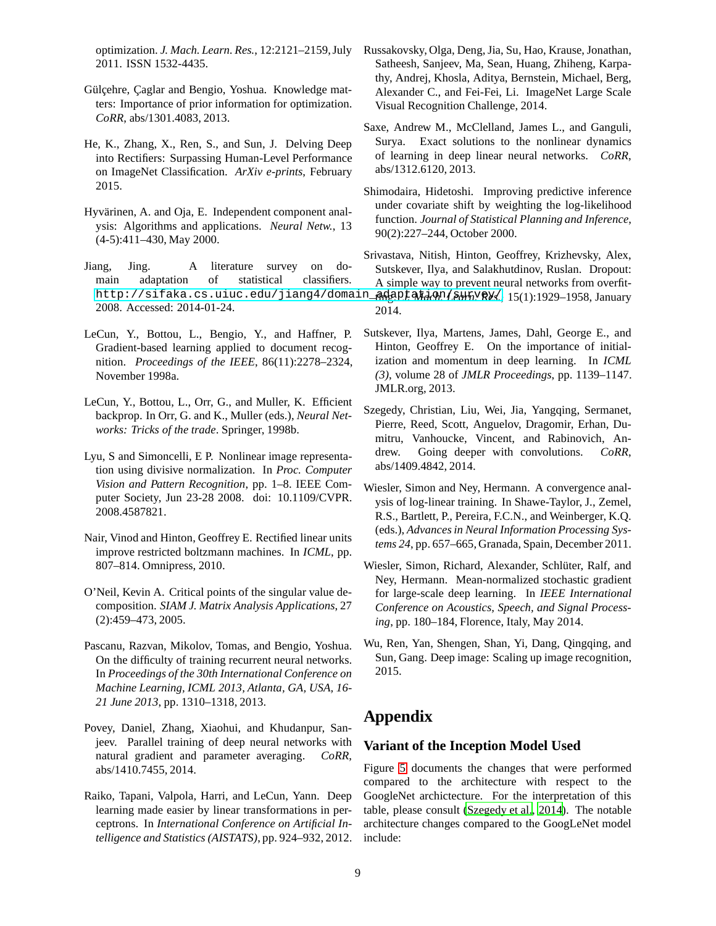optimization. *J. Mach. Learn. Res.*, 12:2121–2159, July 2011. ISSN 1532-4435.

- <span id="page-8-19"></span>Gülçehre, Çaglar and Bengio, Yoshua. Knowledge matters: Importance of prior information for optimization. *CoRR*, abs/1301.4083, 2013.
- <span id="page-8-18"></span>He, K., Zhang, X., Ren, S., and Sun, J. Delving Deep into Rectifiers: Surpassing Human-Level Performance on ImageNet Classification. *ArXiv e-prints*, February 2015.
- <span id="page-8-13"></span>Hyvärinen, A. and Oja, E. Independent component analysis: Algorithms and applications. *Neural Netw.*, 13 (4-5):411–430, May 2000.
- <span id="page-8-2"></span>Jiang, Jing. A literature survey on domain adaptation of statistical classifiers. http://sifaka.cs.uiuc.edu/jiang4/domain\_ 2008. Accessed: 2014-01-24.
- <span id="page-8-14"></span>LeCun, Y., Bottou, L., Bengio, Y., and Haffner, P. Gradient-based learning applied to document recognition. *Proceedings of the IEEE*, 86(11):2278–2324, November 1998a.
- <span id="page-8-6"></span>LeCun, Y., Bottou, L., Orr, G., and Muller, K. Efficient backprop. In Orr, G. and K., Muller (eds.), *Neural Networks: Tricks of the trade*. Springer, 1998b.
- <span id="page-8-12"></span>Lyu, S and Simoncelli, E P. Nonlinear image representation using divisive normalization. In *Proc. Computer Vision and Pattern Recognition*, pp. 1–8. IEEE Computer Society, Jun 23-28 2008. doi: 10.1109/CVPR. 2008.4587821.
- <span id="page-8-3"></span>Nair, Vinod and Hinton, Geoffrey E. Rectified linear units improve restricted boltzmann machines. In *ICML*, pp. 807–814. Omnipress, 2010.
- <span id="page-8-11"></span>O'Neil, Kevin A. Critical points of the singular value decomposition. *SIAM J. Matrix Analysis Applications*, 27 (2):459–473, 2005.
- <span id="page-8-20"></span>Pascanu, Razvan, Mikolov, Tomas, and Bengio, Yoshua. On the difficulty of training recurrent neural networks. In *Proceedings of the 30th International Conference on Machine Learning, ICML 2013, Atlanta, GA, USA, 16- 21 June 2013*, pp. 1310–1318, 2013.
- <span id="page-8-10"></span>Povey, Daniel, Zhang, Xiaohui, and Khudanpur, Sanjeev. Parallel training of deep neural networks with natural gradient and parameter averaging. *CoRR*, abs/1410.7455, 2014.
- <span id="page-8-9"></span>Raiko, Tapani, Valpola, Harri, and LeCun, Yann. Deep learning made easier by linear transformations in perceptrons. In *International Conference on Artificial Intelligence and Statistics (AISTATS)*, pp. 924–932, 2012.
- <span id="page-8-16"></span>Russakovsky, Olga, Deng, Jia, Su, Hao, Krause, Jonathan, Satheesh, Sanjeev, Ma, Sean, Huang, Zhiheng, Karpathy, Andrej, Khosla, Aditya, Bernstein, Michael, Berg, Alexander C., and Fei-Fei, Li. ImageNet Large Scale Visual Recognition Challenge, 2014.
- <span id="page-8-4"></span>Saxe, Andrew M., McClelland, James L., and Ganguli, Surya. Exact solutions to the nonlinear dynamics of learning in deep linear neural networks. *CoRR*, abs/1312.6120, 2013.
- <span id="page-8-1"></span>Shimodaira, Hidetoshi. Improving predictive inference under covariate shift by weighting the log-likelihood function. *Journal of Statistical Planning and Inference*, 90(2):227–244, October 2000.
- <span id="page-8-5"></span>Srivastava, Nitish, Hinton, Geoffrey, Krizhevsky, Alex, Sutskever, Ilya, and Salakhutdinov, Ruslan. Dropout: A simple way to prevent neural networks from overfitting. *J. Mach. Learn. Res.*, 15(1):1929–1958, January 2014.
- <span id="page-8-0"></span>Sutskever, Ilya, Martens, James, Dahl, George E., and Hinton, Geoffrey E. On the importance of initialization and momentum in deep learning. In *ICML (3)*, volume 28 of *JMLR Proceedings*, pp. 1139–1147. JMLR.org, 2013.
- <span id="page-8-15"></span>Szegedy, Christian, Liu, Wei, Jia, Yangqing, Sermanet, Pierre, Reed, Scott, Anguelov, Dragomir, Erhan, Dumitru, Vanhoucke, Vincent, and Rabinovich, Andrew. Going deeper with convolutions. *CoRR*, abs/1409.4842, 2014.
- <span id="page-8-7"></span>Wiesler, Simon and Ney, Hermann. A convergence analysis of log-linear training. In Shawe-Taylor, J., Zemel, R.S., Bartlett, P., Pereira, F.C.N., and Weinberger, K.Q. (eds.), *Advances in Neural Information Processing Systems 24*, pp. 657–665, Granada, Spain, December 2011.
- <span id="page-8-8"></span>Wiesler, Simon, Richard, Alexander, Schlüter, Ralf, and Ney, Hermann. Mean-normalized stochastic gradient for large-scale deep learning. In *IEEE International Conference on Acoustics, Speech, and Signal Processing*, pp. 180–184, Florence, Italy, May 2014.
- <span id="page-8-17"></span>Wu, Ren, Yan, Shengen, Shan, Yi, Dang, Qingqing, and Sun, Gang. Deep image: Scaling up image recognition, 2015.

## **Appendix**

#### **Variant of the Inception Model Used**

Figure [5](#page-10-0) documents the changes that were performed compared to the architecture with respect to the GoogleNet archictecture. For the interpretation of this table, please consult [\(Szegedy et al.](#page-8-15), [2014\)](#page-8-15). The notable architecture changes compared to the GoogLeNet model include: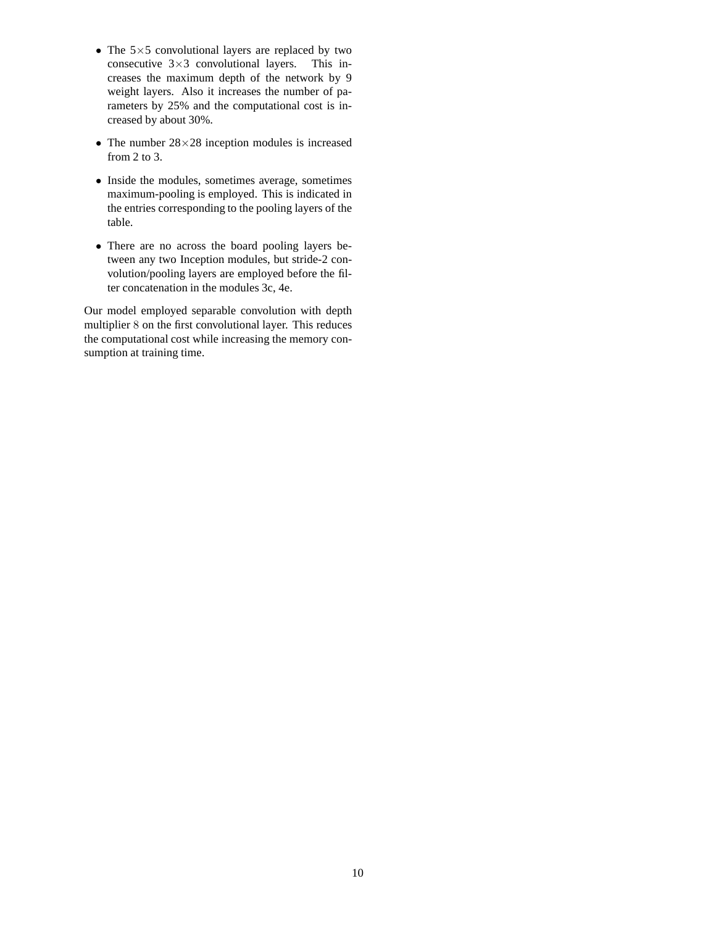- The  $5\times5$  convolutional layers are replaced by two consecutive  $3\times3$  convolutional layers. This inconsecutive  $3\times 3$  convolutional layers. creases the maximum depth of the network by 9 weight layers. Also it increases the number of parameters by 25% and the computational cost is increased by about 30%.
- The number  $28 \times 28$  inception modules is increased from 2 to 3.
- Inside the modules, sometimes average, sometimes maximum-pooling is employed. This is indicated in the entries corresponding to the pooling layers of the table.
- There are no across the board pooling layers between any two Inception modules, but stride-2 convolution/pooling layers are employed before the filter concatenation in the modules 3c, 4e.

Our model employed separable convolution with depth multiplier 8 on the first convolutional layer. This reduces the computational cost while increasing the memory consumption at training time.